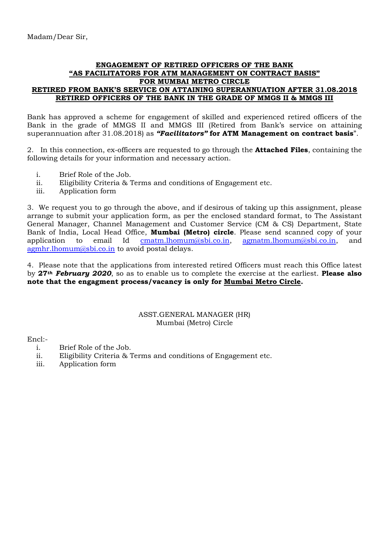## **ENGAGEMENT OF RETIRED OFFICERS OF THE BANK "AS FACILITATORS FOR ATM MANAGEMENT ON CONTRACT BASIS" FOR MUMBAI METRO CIRCLE RETIRED FROM BANK'S SERVICE ON ATTAINING SUPERANNUATION AFTER 31.08.2018 RETIRED OFFICERS OF THE BANK IN THE GRADE OF MMGS II & MMGS III**

Bank has approved a scheme for engagement of skilled and experienced retired officers of the Bank in the grade of MMGS II and MMGS III (Retired from Bank's service on attaining superannuation after 31.08.2018) as *"Facilitators"* **for ATM Management on contract basis**".

2. In this connection, ex-officers are requested to go through the **Attached Files**, containing the following details for your information and necessary action.

- i. Brief Role of the Job.
- ii. Eligibility Criteria & Terms and conditions of Engagement etc.
- iii. Application form

3. We request you to go through the above, and if desirous of taking up this assignment, please arrange to submit your application form, as per the enclosed standard format, to The Assistant General Manager, Channel Management and Customer Service (CM & CS) Department, State Bank of India, Local Head Office, **Mumbai (Metro) circle**. Please send scanned copy of your application to email Id cmatm.lhomum@sbi.co.in, agmatm.lhomum@sbi.co.in, and agmhr.lhomum@sbi.co.in to avoid postal delays.

4. Please note that the applications from interested retired Officers must reach this Office latest by **27***th February 2020*, so as to enable us to complete the exercise at the earliest. **Please also note that the engagment process/vacancy is only for Mumbai Metro Circle.**

## ASST.GENERAL MANAGER (HR) Mumbai (Metro) Circle

Encl:-

- i. Brief Role of the Job.
- ii. Eligibility Criteria & Terms and conditions of Engagement etc.
- iii. Application form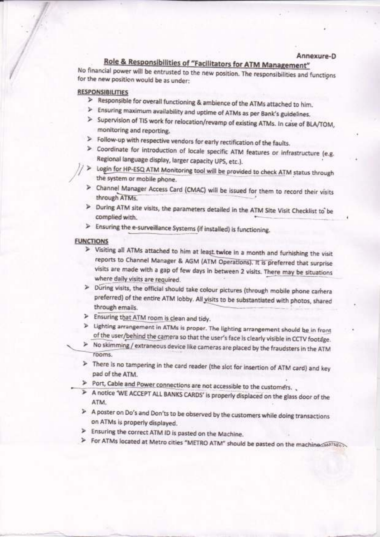# Role & Responsibilities of "Facilitators for ATM Management"

No financial power will be entrusted to the new position. The responsibilities and functions for the new position would be as under:

### **RESPONSIBILITIES**

- > Responsible for overall functioning & ambience of the ATMs attached to him.
- > Ensuring maximum availability and uptime of ATMs as per Bank's guidelines.
- > Supervision of TIS work for relocation/revamp of existing ATMs. In case of BLA/TOM, monitoring and reporting.
- > Follow-up with respective vendors for early rectification of the faults.
- > Coordinate for introduction of locale specific ATM features or infrastructure (e.g. Regional language display, larger capacity UPS, etc.).
- > Login for HP-ESQ ATM Monitoring tool will be provided to check ATM status through the system or mobile phone.
- > Channel Manager Access Card (CMAC) will be issued for them to record their visits through ATMs.
- > During ATM site visits, the parameters detailed in the ATM Site Visit Checklist to be complied with.
- > Ensuring the e-surveillance Systems (if installed) is functioning.

#### **FUNCTIONS**

- > Visiting all ATMs attached to him at least twice in a month and furnishing the visit reports to Channel Manager & AGM (ATM Operations). It is preferred that surprise visits are made with a gap of few days in between 2 visits. There may be situations where daily visits are required.
- > During visits, the official should take colour pictures (through mobile phone camera preferred) of the entire ATM lobby. All visits to be substantiated with photos, shared through emails.
- > Ensuring that ATM room is clean and tidy.
- > Lighting arrangement in ATMs is proper. The lighting arrangement should be in front of the user/behind the camera so that the user's face is clearly visible in CCTV footage.
- > No skimming / extraneous device like cameras are placed by the fraudsters in the ATM rooms.
- > There is no tampering in the card reader (the slot for insertion of ATM card) and key pad of the ATM.
- > Port, Cable and Power connections are not accessible to the customers...
- > A notice 'WE ACCEPT ALL BANKS CARDS' is properly displaced on the glass door of the ATM.
- > A poster on Do's and Don'ts to be observed by the customers while doing transactions on ATMs is properly displayed.
- > Ensuring the correct ATM ID is pasted on the Machine.
- > For ATMs located at Metro cities "METRO ATM" should be pasted on the machiness wall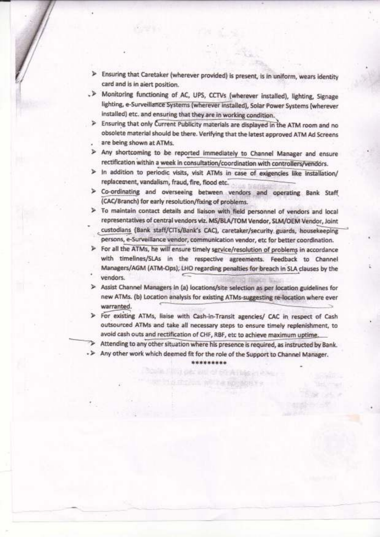- > Ensuring that Caretaker (wherever provided) is present, is in uniform, wears identity card and is in aiert position.
- . > Monitoring functioning of AC, UPS, CCTVs (wherever installed), lighting, Signage lighting, e-Surveillance Systems (wherever installed), Solar Power Systems (wherever installed) etc. and ensuring that they are in working condition.
- > Ensuring that only Current Publicity materials are displayed in the ATM room and no obsolete material should be there. Verifying that the latest approved ATM Ad Screens are being shown at ATMs.
- > Any shortcoming to be reported immediately to Channel Manager and ensure rectification within a week in consultation/coordination with controllers/vendors.
- > In addition to periodic visits, visit ATMs in case of exigencies like installation/ replacement, vandalism, fraud, fire, flood etc.
- > Co-ordinating and overseeing between vendors and operating Bank Staff (CAC/Branch) for early resolution/fixing of problems.
- > To maintain contact details and liaison with field personnel of vendors and local representatives of central vendors viz. MS/BLA/TOM Vendor, SLM/OEM Vendor, Joint custodians (Bank staff/CITs/Bank's CAC), caretaker/security guards, housekeeping persons, e-Surveillance vendor, communication vendor, etc for better coordination.
- > For all the ATMs, he will ensure timely service/resolution of problems in accordance with timelines/SLAs in the respective agreements. Feedback to Channel Managers/AGM (ATM-Ops), LHO regarding penalties for breach in SLA clauses by the vendors.
- > Assist Channel Managers in (a) locations/site selection as per location guidelines for new ATMs. (b) Location analysis for existing ATMs-suggesting re-location where ever warranted.
- > For existing ATMs, liaise with Cash-in-Transit agencies/ CAC in respect of Cash outsourced ATMs and take all necessary steps to ensure timely replenishment, to avoid cash outs and rectification of CHF, RBF, etc to achieve maximum uptime.

> Attending to any other situation where his presence is required, as instructed by Bank.

- > Any other work which deemed fit for the role of the Support to Channel Manager.

\*\*\*\*\*\*\*\*\*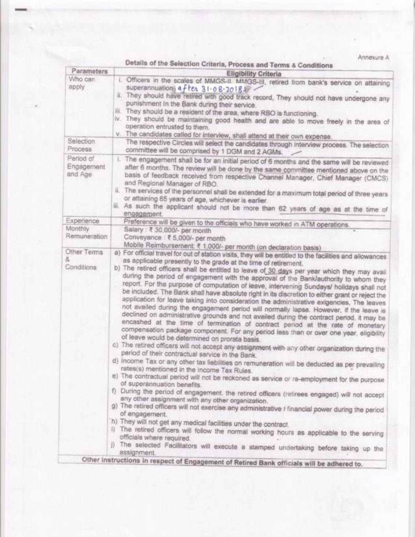Annexure A

| Parameters            | Details of the Selection Criteria, Process and Terms & Conditions                                                                                                                                                                                                                                                                                                                                                                                                                                                                                                                                              |
|-----------------------|----------------------------------------------------------------------------------------------------------------------------------------------------------------------------------------------------------------------------------------------------------------------------------------------------------------------------------------------------------------------------------------------------------------------------------------------------------------------------------------------------------------------------------------------------------------------------------------------------------------|
| Who can               | <b>Eligibility Criteria</b>                                                                                                                                                                                                                                                                                                                                                                                                                                                                                                                                                                                    |
| apply                 | i. Officers in the scales of MMGS-II. MMGS-III, retired from bank's service on attaining<br>superannuation a ftex 31-08-2018                                                                                                                                                                                                                                                                                                                                                                                                                                                                                   |
|                       | ii. They should have retired with good track record, They should not have undergone any<br>punishment In the Bank during their service.                                                                                                                                                                                                                                                                                                                                                                                                                                                                        |
|                       | They should be a resident of the area, where RBO is functioning.<br>Ш.                                                                                                                                                                                                                                                                                                                                                                                                                                                                                                                                         |
|                       | W.<br>They should be maintaining good health and are able to move freely in the area of                                                                                                                                                                                                                                                                                                                                                                                                                                                                                                                        |
|                       | operation entrusted to them.                                                                                                                                                                                                                                                                                                                                                                                                                                                                                                                                                                                   |
| Selection             | v. The candidates called for interview, shall attend at their own expense.                                                                                                                                                                                                                                                                                                                                                                                                                                                                                                                                     |
| Process               | The respective Circles will select the candidates through interview process. The selection<br>committee will be comprised by 1 DGM and 2 AGMs.                                                                                                                                                                                                                                                                                                                                                                                                                                                                 |
| Period of             | i. The engagement shall be for an initial period of 6 months and the same will be reviewed                                                                                                                                                                                                                                                                                                                                                                                                                                                                                                                     |
| Engagement<br>and Age | after 6 months. The review will be done by the same committee mentioned above on the<br>basis of feedback received from respective Channel Manager, Chief Manager (CMCS)<br>and Regional Manager of RBO.                                                                                                                                                                                                                                                                                                                                                                                                       |
|                       | ii. The services of the personnel shall be extended for a maximum total period of three years<br>or attaining 65 years of age, whichever is earlier.                                                                                                                                                                                                                                                                                                                                                                                                                                                           |
|                       | iii. As such the applicant should not be more than 62 years of age as at the time of<br>engagement.                                                                                                                                                                                                                                                                                                                                                                                                                                                                                                            |
| Experience            | Preference will be given to the officials who have worked in ATM operations.                                                                                                                                                                                                                                                                                                                                                                                                                                                                                                                                   |
| Monthly               | Salary : ₹ 30,000/- per month                                                                                                                                                                                                                                                                                                                                                                                                                                                                                                                                                                                  |
| Remuneration          | Conveyance : ₹ 5,000/- per month                                                                                                                                                                                                                                                                                                                                                                                                                                                                                                                                                                               |
| Other Terms           | Mobile Reimbursernent: ₹ 1,000/- per month (on declaration basis)                                                                                                                                                                                                                                                                                                                                                                                                                                                                                                                                              |
| g,<br>Conditions      | a) For official travel for out of station visits, they will be entitled to the facilities and allowances<br>as applicable presently to the grade at the time of retirement.<br>b) The retired officers shall be entitled to leave of 30 days per year which they may avail<br>during the period of engagement with the approval of the Bank/authority to whom they<br>report. For the purpose of computation of leave, intervening Sundays/ holidays shall not<br>be included. The Bank shall have absolute right in its discretion to either grant or reject the                                              |
|                       | application for leave taking into consideration the administrative exigencies. The leaves<br>not availed during the engagement period will normally lapse. However, if the leave is<br>declined on administrative grounds and not availed during the contract period, it may be<br>encashed at the time of termination of contract period at the rate of monetary<br>compensation package component. For any period less than or over one year, eligibility<br>of leave would be determined on prorata basis.<br>c) The retired officers will not accept any assignment with any other organization during the |
|                       | period of their contractual service in the Bank.                                                                                                                                                                                                                                                                                                                                                                                                                                                                                                                                                               |
|                       | d) Income Tax or any other tax liabilities on remuneration will be deducted as per prevailing<br>rates(s) mentioned in the income Tax Rules.                                                                                                                                                                                                                                                                                                                                                                                                                                                                   |
|                       | e) The contractual period will not be reckoned as service or re-employment for the purpose<br>of superannuation benefits.                                                                                                                                                                                                                                                                                                                                                                                                                                                                                      |
|                       | f) During the period of engagement, the retired officers (retirees engaged) will not accept<br>any other assignment with any other organization.                                                                                                                                                                                                                                                                                                                                                                                                                                                               |
|                       | g) The retired officers will not exercise any administrative I financial power during the period<br>of engagement.                                                                                                                                                                                                                                                                                                                                                                                                                                                                                             |
|                       | h) They will not get any medical facilities under the contract.                                                                                                                                                                                                                                                                                                                                                                                                                                                                                                                                                |
|                       | The retired officers will follow the normal working hours as applicable to the serving<br>officials where required.                                                                                                                                                                                                                                                                                                                                                                                                                                                                                            |
|                       | (i) The selected Facilitators will execute a stamped undertaking before taking up the<br>assignment.                                                                                                                                                                                                                                                                                                                                                                                                                                                                                                           |
|                       | Other instructions in respect of Engagement of Retired Bank officials will be adhered to.                                                                                                                                                                                                                                                                                                                                                                                                                                                                                                                      |